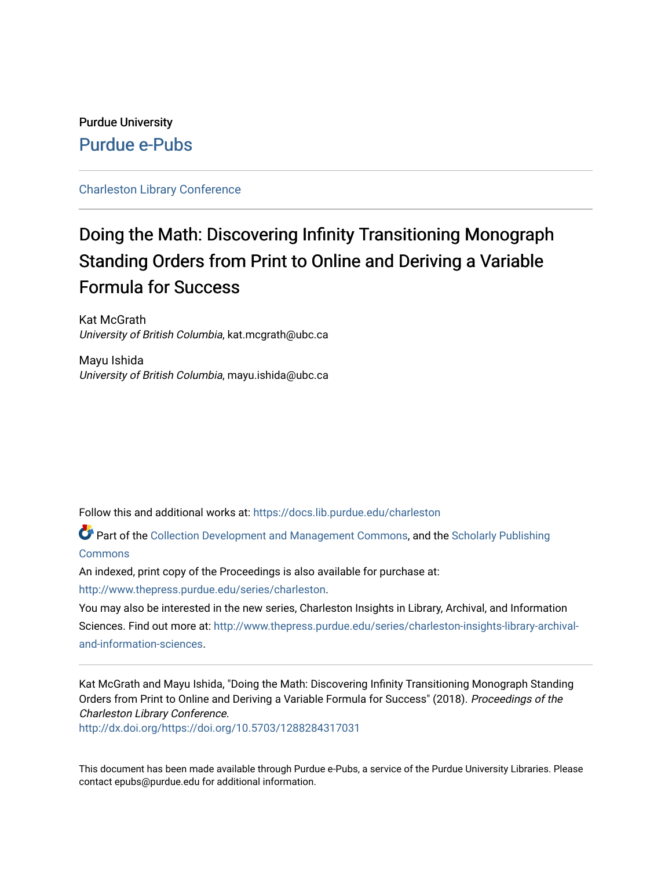# Purdue University [Purdue e-Pubs](https://docs.lib.purdue.edu/)

#### [Charleston Library Conference](https://docs.lib.purdue.edu/charleston)

# Doing the Math: Discovering Infinity Transitioning Monograph Standing Orders from Print to Online and Deriving a Variable Formula for Success

Kat McGrath University of British Columbia, kat.mcgrath@ubc.ca

Mayu Ishida University of British Columbia, mayu.ishida@ubc.ca

Follow this and additional works at: [https://docs.lib.purdue.edu/charleston](https://docs.lib.purdue.edu/charleston?utm_source=docs.lib.purdue.edu%2Fcharleston%2F2018%2Fcollectiondevelopment%2F16&utm_medium=PDF&utm_campaign=PDFCoverPages) 

Part of the [Collection Development and Management Commons,](http://network.bepress.com/hgg/discipline/1271?utm_source=docs.lib.purdue.edu%2Fcharleston%2F2018%2Fcollectiondevelopment%2F16&utm_medium=PDF&utm_campaign=PDFCoverPages) and the [Scholarly Publishing](http://network.bepress.com/hgg/discipline/1273?utm_source=docs.lib.purdue.edu%2Fcharleston%2F2018%2Fcollectiondevelopment%2F16&utm_medium=PDF&utm_campaign=PDFCoverPages)  **[Commons](http://network.bepress.com/hgg/discipline/1273?utm_source=docs.lib.purdue.edu%2Fcharleston%2F2018%2Fcollectiondevelopment%2F16&utm_medium=PDF&utm_campaign=PDFCoverPages)** 

An indexed, print copy of the Proceedings is also available for purchase at:

[http://www.thepress.purdue.edu/series/charleston.](http://www.thepress.purdue.edu/series/charleston)

You may also be interested in the new series, Charleston Insights in Library, Archival, and Information Sciences. Find out more at: [http://www.thepress.purdue.edu/series/charleston-insights-library-archival](http://www.thepress.purdue.edu/series/charleston-insights-library-archival-and-information-sciences)[and-information-sciences](http://www.thepress.purdue.edu/series/charleston-insights-library-archival-and-information-sciences).

Kat McGrath and Mayu Ishida, "Doing the Math: Discovering Infinity Transitioning Monograph Standing Orders from Print to Online and Deriving a Variable Formula for Success" (2018). Proceedings of the Charleston Library Conference.

<http://dx.doi.org/https://doi.org/10.5703/1288284317031>

This document has been made available through Purdue e-Pubs, a service of the Purdue University Libraries. Please contact epubs@purdue.edu for additional information.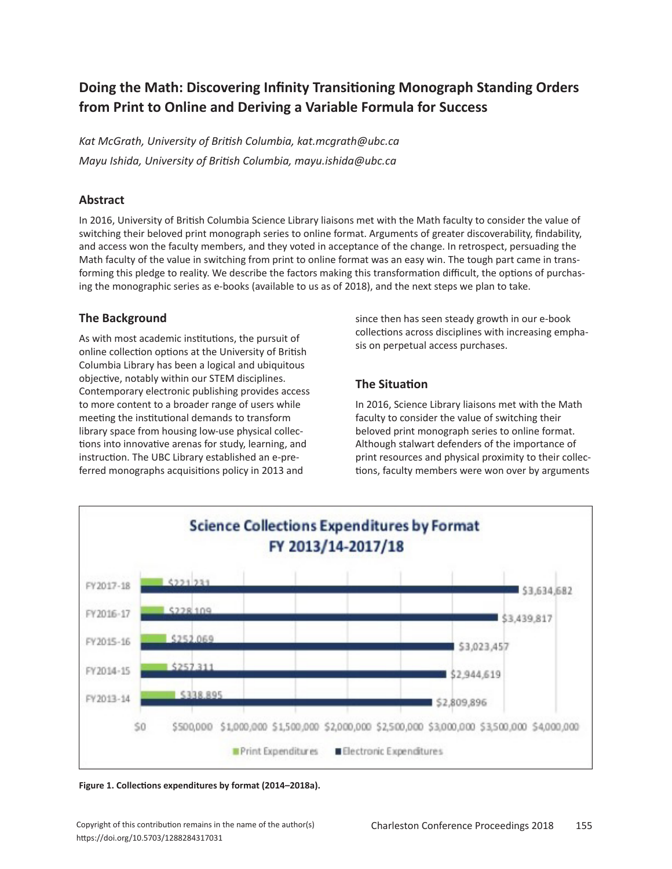# **Doing the Math: Discovering Infinity Transitioning Monograph Standing Orders from Print to Online and Deriving a Variable Formula for Success**

*Kat McGrath, University of British Columbia, kat.mcgrath@ubc.ca Mayu Ishida, University of British Columbia, mayu.ishida@ubc.ca*

### **Abstract**

In 2016, University of British Columbia Science Library liaisons met with the Math faculty to consider the value of switching their beloved print monograph series to online format. Arguments of greater discoverability, findability, and access won the faculty members, and they voted in acceptance of the change. In retrospect, persuading the Math faculty of the value in switching from print to online format was an easy win. The tough part came in transforming this pledge to reality. We describe the factors making this transformation difficult, the options of purchasing the monographic series as e-books (available to us as of 2018), and the next steps we plan to take.

## **The Background**

As with most academic institutions, the pursuit of online collection options at the University of British Columbia Library has been a logical and ubiquitous objective, notably within our STEM disciplines. Contemporary electronic publishing provides access to more content to a broader range of users while meeting the institutional demands to transform library space from housing low-use physical collections into innovative arenas for study, learning, and instruction. The UBC Library established an e-preferred monographs acquisitions policy in 2013 and

since then has seen steady growth in our e-book collections across disciplines with increasing emphasis on perpetual access purchases.

# **The Situation**

In 2016, Science Library liaisons met with the Math faculty to consider the value of switching their beloved print monograph series to online format. Although stalwart defenders of the importance of print resources and physical proximity to their collections, faculty members were won over by arguments



**Figure 1. Collections expenditures by format (2014–2018a).**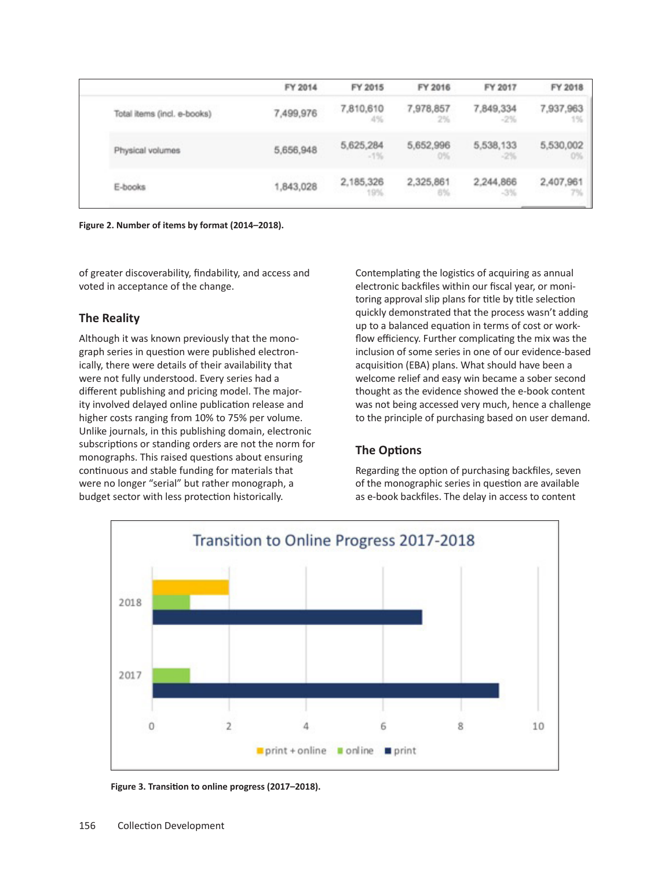|                             | FY 2014   | FY 2015             | FY 2016         | FY 2017             | FY 2018         |
|-----------------------------|-----------|---------------------|-----------------|---------------------|-----------------|
| Total items (incl. e-books) | 7,499,976 | 7,810,610<br>4%     | 7,978,857<br>2% | 7,849,334<br>$-2\%$ | 7,937,963<br>1% |
| Physical volumes            | 5,656,948 | 5,625,284<br>$-1\%$ | 5,652,996<br>0% | 5,538,133<br>$-2\%$ | 5,530,002<br>0% |
| E-books                     | 1,843,028 | 2,185,326<br>19%    | 2,325,861<br>6% | 2,244,866<br>$-3%$  | 2,407,961       |

**Figure 2. Number of items by format (2014–2018).**

of greater discoverability, findability, and access and voted in acceptance of the change.

#### **The Reality**

Although it was known previously that the monograph series in question were published electronically, there were details of their availability that were not fully understood. Every series had a different publishing and pricing model. The majority involved delayed online publication release and higher costs ranging from 10% to 75% per volume. Unlike journals, in this publishing domain, electronic subscriptions or standing orders are not the norm for monographs. This raised questions about ensuring continuous and stable funding for materials that were no longer "serial" but rather monograph, a budget sector with less protection historically.

Contemplating the logistics of acquiring as annual electronic backfiles within our fiscal year, or monitoring approval slip plans for title by title selection quickly demonstrated that the process wasn't adding up to a balanced equation in terms of cost or workflow efficiency. Further complicating the mix was the inclusion of some series in one of our evidence-based acquisition (EBA) plans. What should have been a welcome relief and easy win became a sober second thought as the evidence showed the e-book content was not being accessed very much, hence a challenge to the principle of purchasing based on user demand.

# **The Options**

Regarding the option of purchasing backfiles, seven of the monographic series in question are available as e-book backfiles. The delay in access to content



**Figure 3. Transition to online progress (2017–2018).**